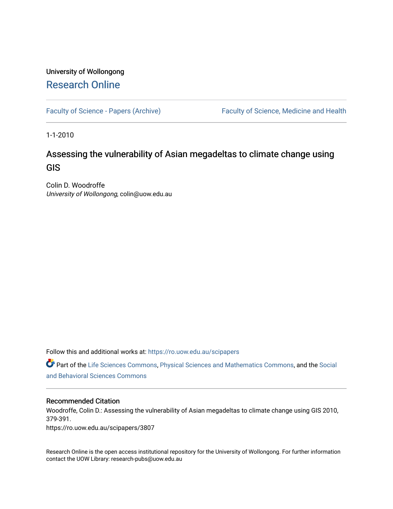# University of Wollongong [Research Online](https://ro.uow.edu.au/)

[Faculty of Science - Papers \(Archive\)](https://ro.uow.edu.au/scipapers) Faculty of Science, Medicine and Health

1-1-2010

# Assessing the vulnerability of Asian megadeltas to climate change using GIS

Colin D. Woodroffe University of Wollongong, colin@uow.edu.au

Follow this and additional works at: [https://ro.uow.edu.au/scipapers](https://ro.uow.edu.au/scipapers?utm_source=ro.uow.edu.au%2Fscipapers%2F3807&utm_medium=PDF&utm_campaign=PDFCoverPages)

Part of the [Life Sciences Commons,](http://network.bepress.com/hgg/discipline/1016?utm_source=ro.uow.edu.au%2Fscipapers%2F3807&utm_medium=PDF&utm_campaign=PDFCoverPages) [Physical Sciences and Mathematics Commons,](http://network.bepress.com/hgg/discipline/114?utm_source=ro.uow.edu.au%2Fscipapers%2F3807&utm_medium=PDF&utm_campaign=PDFCoverPages) and the [Social](http://network.bepress.com/hgg/discipline/316?utm_source=ro.uow.edu.au%2Fscipapers%2F3807&utm_medium=PDF&utm_campaign=PDFCoverPages)  [and Behavioral Sciences Commons](http://network.bepress.com/hgg/discipline/316?utm_source=ro.uow.edu.au%2Fscipapers%2F3807&utm_medium=PDF&utm_campaign=PDFCoverPages) 

#### Recommended Citation

Woodroffe, Colin D.: Assessing the vulnerability of Asian megadeltas to climate change using GIS 2010, 379-391.

https://ro.uow.edu.au/scipapers/3807

Research Online is the open access institutional repository for the University of Wollongong. For further information contact the UOW Library: research-pubs@uow.edu.au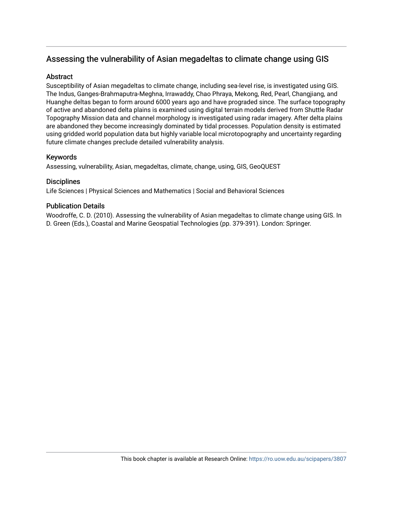## Assessing the vulnerability of Asian megadeltas to climate change using GIS

## **Abstract**

Susceptibility of Asian megadeltas to climate change, including sea-level rise, is investigated using GIS. The Indus, Ganges-Brahmaputra-Meghna, Irrawaddy, Chao Phraya, Mekong, Red, Pearl, Changjiang, and Huanghe deltas began to form around 6000 years ago and have prograded since. The surface topography of active and abandoned delta plains is examined using digital terrain models derived from Shuttle Radar Topography Mission data and channel morphology is investigated using radar imagery. After delta plains are abandoned they become increasingly dominated by tidal processes. Population density is estimated using gridded world population data but highly variable local microtopography and uncertainty regarding future climate changes preclude detailed vulnerability analysis.

## Keywords

Assessing, vulnerability, Asian, megadeltas, climate, change, using, GIS, GeoQUEST

## **Disciplines**

Life Sciences | Physical Sciences and Mathematics | Social and Behavioral Sciences

## Publication Details

Woodroffe, C. D. (2010). Assessing the vulnerability of Asian megadeltas to climate change using GIS. In D. Green (Eds.), Coastal and Marine Geospatial Technologies (pp. 379-391). London: Springer.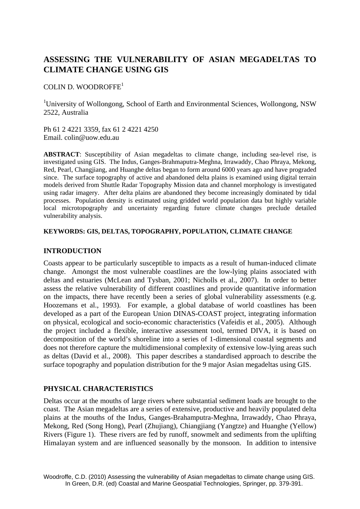## **ASSESSING THE VULNERABILITY OF ASIAN MEGADELTAS TO CLIMATE CHANGE USING GIS**

## COLIN D. WOODROFFE $^1$

<sup>1</sup>University of Wollongong, School of Earth and Environmental Sciences, Wollongong, NSW 2522, Australia

Ph 61 2 4221 3359, fax 61 2 4221 4250 Email. colin@uow.edu.au

**ABSTRACT**: Susceptibility of Asian megadeltas to climate change, including sea-level rise, is investigated using GIS. The Indus, Ganges-Brahmaputra-Meghna, Irrawaddy, Chao Phraya, Mekong, Red, Pearl, Changjiang, and Huanghe deltas began to form around 6000 years ago and have prograded since. The surface topography of active and abandoned delta plains is examined using digital terrain models derived from Shuttle Radar Topography Mission data and channel morphology is investigated using radar imagery. After delta plains are abandoned they become increasingly dominated by tidal processes. Population density is estimated using gridded world population data but highly variable local microtopography and uncertainty regarding future climate changes preclude detailed vulnerability analysis.

#### **KEYWORDS: GIS, DELTAS, TOPOGRAPHY, POPULATION, CLIMATE CHANGE**

#### **INTRODUCTION**

Coasts appear to be particularly susceptible to impacts as a result of human-induced climate change. Amongst the most vulnerable coastlines are the low-lying plains associated with deltas and estuaries (McLean and Tysban, 2001; Nicholls et al., 2007). In order to better assess the relative vulnerability of different coastlines and provide quantitative information on the impacts, there have recently been a series of global vulnerability assessments (e.g. Hoozemans et al., 1993). For example, a global database of world coastlines has been developed as a part of the European Union DINAS-COAST project, integrating information on physical, ecological and socio-economic characteristics (Vafeidis et al., 2005). Although the project included a flexible, interactive assessment tool, termed DIVA, it is based on decomposition of the world's shoreline into a series of 1-dimensional coastal segments and does not therefore capture the multidimensional complexity of extensive low-lying areas such as deltas (David et al., 2008). This paper describes a standardised approach to describe the surface topography and population distribution for the 9 major Asian megadeltas using GIS.

#### **PHYSICAL CHARACTERISTICS**

Deltas occur at the mouths of large rivers where substantial sediment loads are brought to the coast. The Asian megadeltas are a series of extensive, productive and heavily populated delta plains at the mouths of the Indus, Ganges-Brahamputra-Meghna, Irrawaddy, Chao Phraya, Mekong, Red (Song Hong), Pearl (Zhujiang), Chiangjiang (Yangtze) and Huanghe (Yellow) Rivers (Figure 1). These rivers are fed by runoff, snowmelt and sediments from the uplifting Himalayan system and are influenced seasonally by the monsoon. In addition to intensive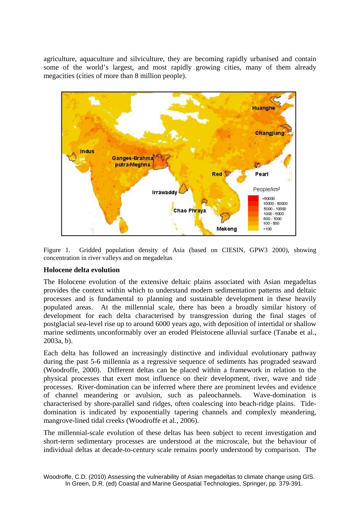agriculture, aquaculture and silviculture, they are becoming rapidly urbanised and contain some of the world's largest, and most rapidly growing cities, many of them already megacities (cities of more than 8 million people).



Figure 1. Gridded population density of Asia (based on CIESIN, GPW3 2000), showing concentration in river valleys and on megadeltas

## **Holocene delta evolution**

The Holocene evolution of the extensive deltaic plains associated with Asian megadeltas provides the context within which to understand modern sedimentation patterns and deltaic processes and is fundamental to planning and sustainable development in these heavily populated areas. At the millennial scale, there has been a broadly similar history of development for each delta characterised by transgression during the final stages of postglacial sea-level rise up to around 6000 years ago, with deposition of intertidal or shallow marine sediments unconformably over an eroded Pleistocene alluvial surface (Tanabe et al., 2003a, b).

Each delta has followed an increasingly distinctive and individual evolutionary pathway during the past 5-6 millennia as a regressive sequence of sediments has prograded seaward (Woodroffe, 2000). Different deltas can be placed within a framework in relation to the physical processes that exert most influence on their development, river, wave and tide processes. River-domination can be inferred where there are prominent levées and evidence of channel meandering or avulsion, such as paleochannels. Wave-domination is characterised by shore-parallel sand ridges, often coalescing into beach-ridge plains. Tidedomination is indicated by exponentially tapering channels and complexly meandering, mangrove-lined tidal creeks (Woodroffe et al., 2006).

The millennial-scale evolution of these deltas has been subject to recent investigation and short-term sedimentary processes are understood at the microscale, but the behaviour of individual deltas at decade-to-century scale remains poorly understood by comparison. The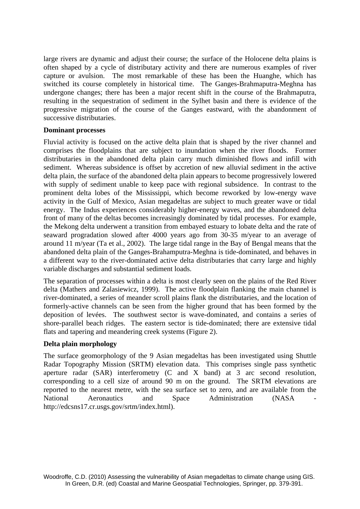large rivers are dynamic and adjust their course; the surface of the Holocene delta plains is often shaped by a cycle of distributary activity and there are numerous examples of river capture or avulsion. The most remarkable of these has been the Huanghe, which has switched its course completely in historical time. The Ganges-Brahmaputra-Meghna has undergone changes; there has been a major recent shift in the course of the Brahmaputra, resulting in the sequestration of sediment in the Sylhet basin and there is evidence of the progressive migration of the course of the Ganges eastward, with the abandonment of successive distributaries.

## **Dominant processes**

Fluvial activity is focused on the active delta plain that is shaped by the river channel and comprises the floodplains that are subject to inundation when the river floods. Former distributaries in the abandoned delta plain carry much diminished flows and infill with sediment. Whereas subsidence is offset by accretion of new alluvial sediment in the active delta plain, the surface of the abandoned delta plain appears to become progressively lowered with supply of sediment unable to keep pace with regional subsidence. In contrast to the prominent delta lobes of the Mississippi, which become reworked by low-energy wave activity in the Gulf of Mexico, Asian megadeltas are subject to much greater wave or tidal energy. The Indus experiences considerably higher-energy waves, and the abandoned delta front of many of the deltas becomes increasingly dominated by tidal processes. For example, the Mekong delta underwent a transition from embayed estuary to lobate delta and the rate of seaward progradation slowed after 4000 years ago from 30-35 m/year to an average of around 11 m/year (Ta et al., 2002). The large tidal range in the Bay of Bengal means that the abandoned delta plain of the Ganges-Brahamputra-Meghna is tide-dominated, and behaves in a different way to the river-dominated active delta distributaries that carry large and highly variable discharges and substantial sediment loads.

The separation of processes within a delta is most clearly seen on the plains of the Red River delta (Mathers and Zalasiewicz, 1999). The active floodplain flanking the main channel is river-dominated, a series of meander scroll plains flank the distributaries, and the location of formerly-active channels can be seen from the higher ground that has been formed by the deposition of levées. The southwest sector is wave-dominated, and contains a series of shore-parallel beach ridges. The eastern sector is tide-dominated; there are extensive tidal flats and tapering and meandering creek systems (Figure 2).

## **Delta plain morphology**

The surface geomorphology of the 9 Asian megadeltas has been investigated using Shuttle Radar Topography Mission (SRTM) elevation data. This comprises single pass synthetic aperture radar (SAR) interferometry (C and X band) at 3 arc second resolution, corresponding to a cell size of around 90 m on the ground. The SRTM elevations are reported to the nearest metre, with the sea surface set to zero, and are available from the National Aeronautics and Space Administration (NASA http://edcsns17.cr.usgs.gov/srtm/index.html).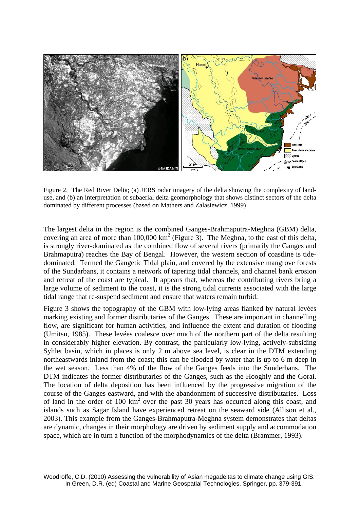

Figure 2. The Red River Delta; (a) JERS radar imagery of the delta showing the complexity of landuse, and (b) an interpretation of subaerial delta geomorphology that shows distinct sectors of the delta dominated by different processes (based on Mathers and Zalasiewicz, 1999)

The largest delta in the region is the combined Ganges-Brahmaputra-Meghna (GBM) delta, covering an area of more than  $100,000 \text{ km}^2$  (Figure 3). The Meghna, to the east of this delta, is strongly river-dominated as the combined flow of several rivers (primarily the Ganges and Brahmaputra) reaches the Bay of Bengal. However, the western section of coastline is tidedominated. Termed the Gangetic Tidal plain, and covered by the extensive mangrove forests of the Sundarbans, it contains a network of tapering tidal channels, and channel bank erosion and retreat of the coast are typical. It appears that, whereas the contributing rivers bring a large volume of sediment to the coast, it is the strong tidal currents associated with the large tidal range that re-suspend sediment and ensure that waters remain turbid.

Figure 3 shows the topography of the GBM with low-lying areas flanked by natural levées marking existing and former distributaries of the Ganges. These are important in channelling flow, are significant for human activities, and influence the extent and duration of flooding (Umitsu, 1985). These levées coalesce over much of the northern part of the delta resulting in considerably higher elevation. By contrast, the particularly low-lying, actively-subsiding Syhlet basin, which in places is only 2 m above sea level, is clear in the DTM extending northeastwards inland from the coast; this can be flooded by water that is up to 6 m deep in the wet season. Less than 4% of the flow of the Ganges feeds into the Sunderbans. The DTM indicates the former distributaries of the Ganges, such as the Hooghly and the Gorai. The location of delta deposition has been influenced by the progressive migration of the course of the Ganges eastward, and with the abandonment of successive distributaries. Loss of land in the order of 100 km<sup>2</sup> over the past 30 years has occurred along this coast, and islands such as Sagar Island have experienced retreat on the seaward side (Allison et al., 2003). This example from the Ganges-Brahmaputra-Meghna system demonstrates that deltas are dynamic, changes in their morphology are driven by sediment supply and accommodation space, which are in turn a function of the morphodynamics of the delta (Brammer, 1993).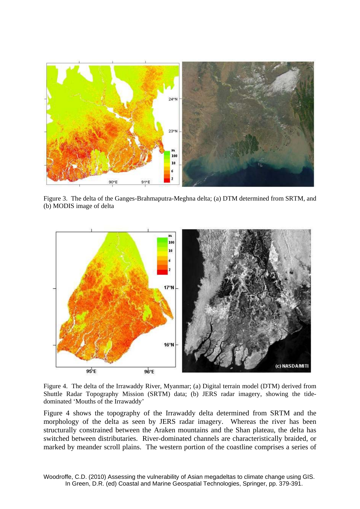

Figure 3. The delta of the Ganges-Brahmaputra-Meghna delta; (a) DTM determined from SRTM, and (b) MODIS image of delta



Figure 4. The delta of the Irrawaddy River, Myanmar; (a) Digital terrain model (DTM) derived from Shuttle Radar Topography Mission (SRTM) data; (b) JERS radar imagery, showing the tidedominated 'Mouths of the Irrawaddy'

Figure 4 shows the topography of the Irrawaddy delta determined from SRTM and the morphology of the delta as seen by JERS radar imagery. Whereas the river has been structurally constrained between the Araken mountains and the Shan plateau, the delta has switched between distributaries. River-dominated channels are characteristically braided, or marked by meander scroll plains. The western portion of the coastline comprises a series of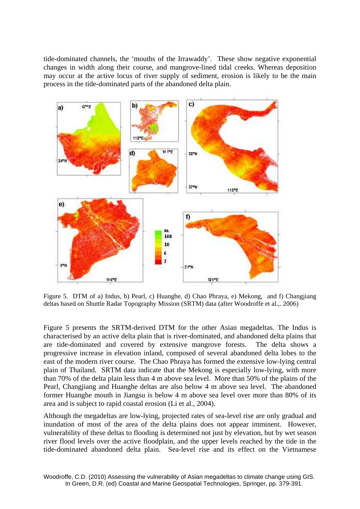tide-dominated channels, the 'mouths of the Irrawaddy'. These show negative exponential changes in width along their course, and mangrove-lined tidal creeks. Whereas deposition may occur at the active locus of river supply of sediment, erosion is likely to be the main process in the tide-dominated parts of the abandoned delta plain.



Figure 5. DTM of a) Indus, b) Pearl, c) Huanghe, d) Chao Phraya, e) Mekong, and f) Changjiang deltas based on Shuttle Radar Topography Mission (SRTM) data (after Woodroffe et al.,. 2006)

Figure 5 presents the SRTM-derived DTM for the other Asian megadeltas. The Indus is characterised by an active delta plain that is river-dominated, and abandoned delta plains that are tide-dominated and covered by extensive mangrove forests. The delta shows a progressive increase in elevation inland, composed of several abandoned delta lobes to the east of the modern river course. The Chao Phraya has formed the extensive low-lying central plain of Thailand. SRTM data indicate that the Mekong is especially low-lying, with more than 70% of the delta plain less than 4 m above sea level. More than 50% of the plains of the Pearl, Changjiang and Huanghe deltas are also below 4 m above sea level. The abandoned former Huanghe mouth in Jiangsu is below 4 m above sea level over more than 80% of its area and is subject to rapid coastal erosion (Li et al., 2004).

Although the megadeltas are low-lying, projected rates of sea-level rise are only gradual and inundation of most of the area of the delta plains does not appear imminent. However, vulnerability of these deltas to flooding is determined not just by elevation, but by wet season river flood levels over the active floodplain, and the upper levels reached by the tide in the tide-dominated abandoned delta plain. Sea-level rise and its effect on the Vietnamese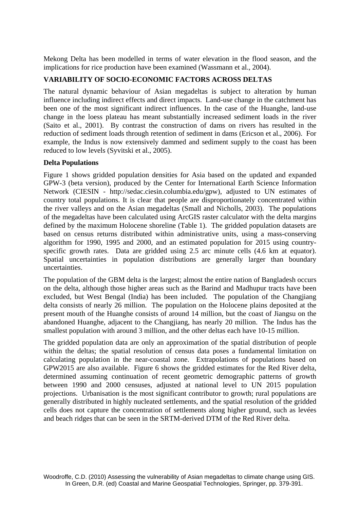Mekong Delta has been modelled in terms of water elevation in the flood season, and the implications for rice production have been examined (Wassmann et al., 2004).

## **VARIABILITY OF SOCIO-ECONOMIC FACTORS ACROSS DELTAS**

The natural dynamic behaviour of Asian megadeltas is subject to alteration by human influence including indirect effects and direct impacts. Land-use change in the catchment has been one of the most significant indirect influences. In the case of the Huanghe, land-use change in the loess plateau has meant substantially increased sediment loads in the river (Saito et al., 2001). By contrast the construction of dams on rivers has resulted in the reduction of sediment loads through retention of sediment in dams (Ericson et al., 2006). For example, the Indus is now extensively dammed and sediment supply to the coast has been reduced to low levels (Syvitski et al., 2005).

## **Delta Populations**

Figure 1 shows gridded population densities for Asia based on the updated and expanded GPW-3 (beta version), produced by the Center for International Earth Science Information Network (CIESIN - http://sedac.ciesin.columbia.edu/gpw), adjusted to UN estimates of country total populations. It is clear that people are disproportionately concentrated within the river valleys and on the Asian megadeltas (Small and Nicholls, 2003). The populations of the megadeltas have been calculated using ArcGIS raster calculator with the delta margins defined by the maximum Holocene shoreline (Table 1). The gridded population datasets are based on census returns distributed within administrative units, using a mass-conserving algorithm for 1990, 1995 and 2000, and an estimated population for 2015 using countryspecific growth rates. Data are gridded using 2.5 arc minute cells (4.6 km at equator). Spatial uncertainties in population distributions are generally larger than boundary uncertainties.

The population of the GBM delta is the largest; almost the entire nation of Bangladesh occurs on the delta, although those higher areas such as the Barind and Madhupur tracts have been excluded, but West Bengal (India) has been included. The population of the Changjiang delta consists of nearly 26 million. The population on the Holocene plains deposited at the present mouth of the Huanghe consists of around 14 million, but the coast of Jiangsu on the abandoned Huanghe, adjacent to the Changjiang, has nearly 20 million. The Indus has the smallest population with around 3 million, and the other deltas each have 10-15 million.

The gridded population data are only an approximation of the spatial distribution of people within the deltas; the spatial resolution of census data poses a fundamental limitation on calculating population in the near-coastal zone. Extrapolations of populations based on GPW2015 are also available. Figure 6 shows the gridded estimates for the Red River delta, determined assuming continuation of recent geometric demographic patterns of growth between 1990 and 2000 censuses, adjusted at national level to UN 2015 population projections. Urbanisation is the most significant contributor to growth; rural populations are generally distributed in highly nucleated settlements, and the spatial resolution of the gridded cells does not capture the concentration of settlements along higher ground, such as levées and beach ridges that can be seen in the SRTM-derived DTM of the Red River delta.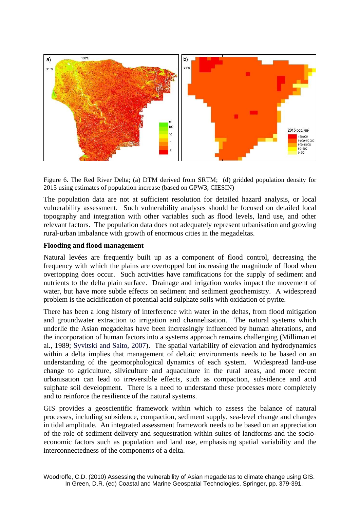

Figure 6. The Red River Delta; (a) DTM derived from SRTM; (d) gridded population density for 2015 using estimates of population increase (based on GPW3, CIESIN)

The population data are not at sufficient resolution for detailed hazard analysis, or local vulnerability assessment. Such vulnerability analyses should be focused on detailed local topography and integration with other variables such as flood levels, land use, and other relevant factors. The population data does not adequately represent urbanisation and growing rural-urban imbalance with growth of enormous cities in the megadeltas.

## **Flooding and flood management**

Natural levées are frequently built up as a component of flood control, decreasing the frequency with which the plains are overtopped but increasing the magnitude of flood when overtopping does occur. Such activities have ramifications for the supply of sediment and nutrients to the delta plain surface. Drainage and irrigation works impact the movement of water, but have more subtle effects on sediment and sediment geochemistry. A widespread problem is the acidification of potential acid sulphate soils with oxidation of pyrite.

There has been a long history of interference with water in the deltas, from flood mitigation and groundwater extraction to irrigation and channelisation. The natural systems which underlie the Asian megadeltas have been increasingly influenced by human alterations, and the incorporation of human factors into a systems approach remains challenging (Milliman et al., 1989; Syvitski and Saito, 2007). The spatial variability of elevation and hydrodynamics within a delta implies that management of deltaic environments needs to be based on an understanding of the geomorphological dynamics of each system. Widespread land-use change to agriculture, silviculture and aquaculture in the rural areas, and more recent urbanisation can lead to irreversible effects, such as compaction, subsidence and acid sulphate soil development. There is a need to understand these processes more completely and to reinforce the resilience of the natural systems.

GIS provides a geoscientific framework within which to assess the balance of natural processes, including subsidence, compaction, sediment supply, sea-level change and changes in tidal amplitude. An integrated assessment framework needs to be based on an appreciation of the role of sediment delivery and sequestration within suites of landforms and the socioeconomic factors such as population and land use, emphasising spatial variability and the interconnectedness of the components of a delta.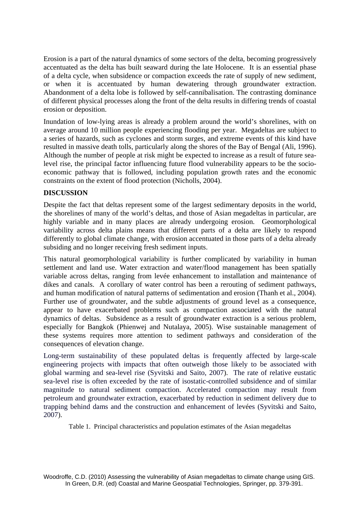Erosion is a part of the natural dynamics of some sectors of the delta, becoming progressively accentuated as the delta has built seaward during the late Holocene. It is an essential phase of a delta cycle, when subsidence or compaction exceeds the rate of supply of new sediment, or when it is accentuated by human dewatering through groundwater extraction. Abandonment of a delta lobe is followed by self-cannibalisation. The contrasting dominance of different physical processes along the front of the delta results in differing trends of coastal erosion or deposition.

Inundation of low-lying areas is already a problem around the world's shorelines, with on average around 10 million people experiencing flooding per year. Megadeltas are subject to a series of hazards, such as cyclones and storm surges, and extreme events of this kind have resulted in massive death tolls, particularly along the shores of the Bay of Bengal (Ali, 1996). Although the number of people at risk might be expected to increase as a result of future sealevel rise, the principal factor influencing future flood vulnerability appears to be the socioeconomic pathway that is followed, including population growth rates and the economic constraints on the extent of flood protection (Nicholls, 2004).

## **DISCUSSION**

Despite the fact that deltas represent some of the largest sedimentary deposits in the world, the shorelines of many of the world's deltas, and those of Asian megadeltas in particular, are highly variable and in many places are already undergoing erosion. Geomorphological variability across delta plains means that different parts of a delta are likely to respond differently to global climate change, with erosion accentuated in those parts of a delta already subsiding and no longer receiving fresh sediment inputs.

This natural geomorphological variability is further complicated by variability in human settlement and land use. Water extraction and water/flood management has been spatially variable across deltas, ranging from levée enhancement to installation and maintenance of dikes and canals. A corollary of water control has been a rerouting of sediment pathways, and human modification of natural patterns of sedimentation and erosion (Thanh et al., 2004). Further use of groundwater, and the subtle adjustments of ground level as a consequence, appear to have exacerbated problems such as compaction associated with the natural dynamics of deltas. Subsidence as a result of groundwater extraction is a serious problem, especially for Bangkok (Phienwej and Nutalaya, 2005). Wise sustainable management of these systems requires more attention to sediment pathways and consideration of the consequences of elevation change.

Long-term sustainability of these populated deltas is frequently affected by large-scale engineering projects with impacts that often outweigh those likely to be associated with global warming and sea-level rise (Syvitski and Saito, 2007). The rate of relative eustatic sea-level rise is often exceeded by the rate of isostatic-controlled subsidence and of similar magnitude to natural sediment compaction. Accelerated compaction may result from petroleum and groundwater extraction, exacerbated by reduction in sediment delivery due to trapping behind dams and the construction and enhancement of levées (Syvitski and Saito, 2007).

Table 1. Principal characteristics and population estimates of the Asian megadeltas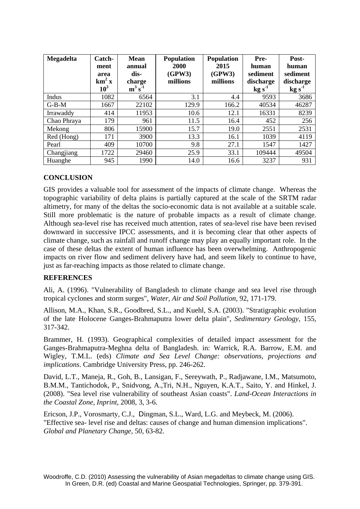| Megadelta   | Catch-<br>ment<br>area<br>$km^2 x$<br>10 <sup>3</sup> | <b>Mean</b><br>annual<br>dis-<br>charge<br>$m^3 s^{\overline{-1}}$ | <b>Population</b><br>2000<br>(GPW3)<br>millions | <b>Population</b><br>2015<br>(GPW3)<br>millions | Pre-<br>human<br>sediment<br>discharge<br>$kg s-1$ | Post-<br>human<br>sediment<br>discharge<br>$\text{kg s}^{-1}$ |
|-------------|-------------------------------------------------------|--------------------------------------------------------------------|-------------------------------------------------|-------------------------------------------------|----------------------------------------------------|---------------------------------------------------------------|
| Indus       | 1082                                                  | 6564                                                               | 3.1                                             | 4.4                                             | 9593                                               | 3686                                                          |
| $G-B-M$     | 1667                                                  | 22102                                                              | 129.9                                           | 166.2                                           | 40534                                              | 46287                                                         |
| Irrawaddy   | 414                                                   | 11953                                                              | 10.6                                            | 12.1                                            | 16331                                              | 8239                                                          |
| Chao Phraya | 179                                                   | 961                                                                | 11.5                                            | 16.4                                            | 452                                                | 256                                                           |
| Mekong      | 806                                                   | 15900                                                              | 15.7                                            | 19.0                                            | 2551                                               | 2531                                                          |
| Red (Hong)  | 171                                                   | 3900                                                               | 13.3                                            | 16.1                                            | 1039                                               | 4119                                                          |
| Pearl       | 409                                                   | 10700                                                              | 9.8                                             | 27.1                                            | 1547                                               | 1427                                                          |
| Changjiang  | 1722                                                  | 29460                                                              | 25.9                                            | 33.1                                            | 109444                                             | 49504                                                         |
| Huanghe     | 945                                                   | 1990                                                               | 14.0                                            | 16.6                                            | 3237                                               | 931                                                           |

## **CONCLUSION**

GIS provides a valuable tool for assessment of the impacts of climate change. Whereas the topographic variability of delta plains is partially captured at the scale of the SRTM radar altimetry, for many of the deltas the socio-economic data is not available at a suitable scale. Still more problematic is the nature of probable impacts as a result of climate change. Although sea-level rise has received much attention, rates of sea-level rise have been revised downward in successive IPCC assessments, and it is becoming clear that other aspects of climate change, such as rainfall and runoff change may play an equally important role. In the case of these deltas the extent of human influence has been overwhelming. Anthropogenic impacts on river flow and sediment delivery have had, and seem likely to continue to have, just as far-reaching impacts as those related to climate change.

## **REFERENCES**

Ali, A. (1996). "Vulnerability of Bangladesh to climate change and sea level rise through tropical cyclones and storm surges", *Water, Air and Soil Pollution,* 92, 171-179.

Allison, M.A., Khan, S.R., Goodbred, S.L., and Kuehl, S.A. (2003). "Stratigraphic evolution of the late Holocene Ganges-Brahmaputra lower delta plain", *Sedimentary Geology,* 155, 317-342.

Brammer, H. (1993). Geographical complexities of detailed impact assessment for the Ganges-Brahmaputra-Meghna delta of Bangladesh. in: Warrick, R.A. Barrow, E.M. and Wigley, T.M.L. (eds) *Climate and Sea Level Change: observations, projections and implications*. Cambridge University Press, pp. 246-262.

David, L.T., Maneja, R., Goh, B., Lansigan, F., Sereywath, P., Radjawane, I.M., Matsumoto, B.M.M., Tantichodok, P., Snidvong, A.,Tri, N.H., Nguyen, K.A.T., Saito, Y. and Hinkel, J. (2008). "Sea level rise vulnerability of southeast Asian coasts". *Land-Ocean Interactions in the Coastal Zone, Inprint*, 2008, 3, 3-6.

Ericson, J.P., Vorosmarty, C.J., Dingman, S.L., Ward, L.G. and Meybeck, M. (2006). "Effective sea- level rise and deltas: causes of change and human dimension implications". *Global and Planetary Change,* 50, 63-82.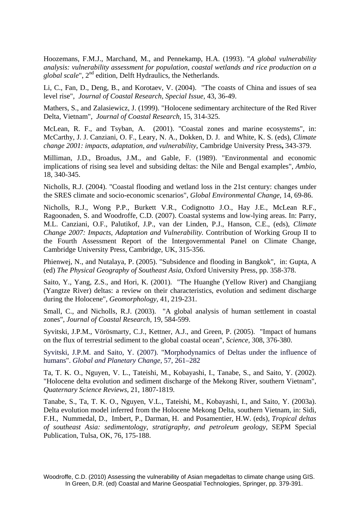Hoozemans, F.M.J., Marchand, M., and Pennekamp, H.A. (1993). "*A global vulnerability analysis: vulnerability assessment for population, coastal wetlands and rice production on a global scale*", 2nd edition, Delft Hydraulics, the Netherlands.

Li, C., Fan, D., Deng, B., and Korotaev, V. (2004). "The coasts of China and issues of sea level rise", *Journal of Coastal Research, Special Issue,* 43, 36-49.

Mathers, S., and Zalasiewicz, J. (1999). "Holocene sedimentary architecture of the Red River Delta, Vietnam", *Journal of Coastal Research,* 15, 314-325.

McLean, R. F., and Tsyban, A. (2001). "Coastal zones and marine ecosystems", in: McCarthy, J. J. Canziani, O. F., Leary, N. A., Dokken, D. J. and White, K. S. (eds), *Climate change 2001: impacts, adaptation, and vulnerability*, Cambridge University Press**,** 343-379.

Milliman, J.D., Broadus, J.M., and Gable, F. (1989). "Environmental and economic implications of rising sea level and subsiding deltas: the Nile and Bengal examples", *Ambio,* 18, 340-345.

Nicholls, R.J. (2004). "Coastal flooding and wetland loss in the 21st century: changes under the SRES climate and socio-economic scenarios", *Global Environmental Change,* 14, 69-86.

Nicholls, R.J., Wong P.P., Burkett V.R., Codignotto J.O., Hay J.E., McLean R.F., Ragoonaden, S. and Woodroffe, C.D. (2007). Coastal systems and low-lying areas. In: Parry, M.L. Canziani, O.F., Palutikof, J.P., van der Linden, P.J., Hanson, C.E., (eds), *Climate Change 2007: Impacts, Adaptation and Vulnerability.* Contribution of Working Group II to the Fourth Assessment Report of the Intergovernmental Panel on Climate Change, Cambridge University Press, Cambridge, UK, 315-356.

Phienwej, N., and Nutalaya, P. (2005). "Subsidence and flooding in Bangkok", in: Gupta, A (ed) *The Physical Geography of Southeast Asia*, Oxford University Press, pp. 358-378.

Saito, Y., Yang, Z.S., and Hori, K. (2001). "The Huanghe (Yellow River) and Changjiang (Yangtze River) deltas: a review on their characteristics, evolution and sediment discharge during the Holocene", *Geomorphology,* 41, 219-231.

Small, C., and Nicholls, R.J. (2003). "A global analysis of human settlement in coastal zones", *Journal of Coastal Research,* 19, 584-599.

Syvitski, J.P.M., Vörösmarty, C.J., Kettner, A.J., and Green, P. (2005). "Impact of humans on the flux of terrestrial sediment to the global coastal ocean", *Science,* 308, 376-380.

Syvitski, J.P.M. and Saito, Y. (2007). "Morphodynamics of Deltas under the influence of humans". *Global and Planetary Change*, 57, 261–282

Ta, T. K. O., Nguyen, V. L., Tateishi, M., Kobayashi, I., Tanabe, S., and Saito, Y. (2002). "Holocene delta evolution and sediment discharge of the Mekong River, southern Vietnam", *Quaternary Science Reviews,* 21, 1807-1819.

Tanabe, S., Ta, T. K. O., Nguyen, V.L., Tateishi, M., Kobayashi, I., and Saito, Y. (2003a). Delta evolution model inferred from the Holocene Mekong Delta, southern Vietnam, in: Sidi, F.H., Nummedal, D., Imbert, P., Darman, H. and Posamentier, H.W. (eds), *Tropical deltas of southeast Asia: sedimentology, stratigraphy, and petroleum geology*, SEPM Special Publication, Tulsa, OK, 76, 175-188.